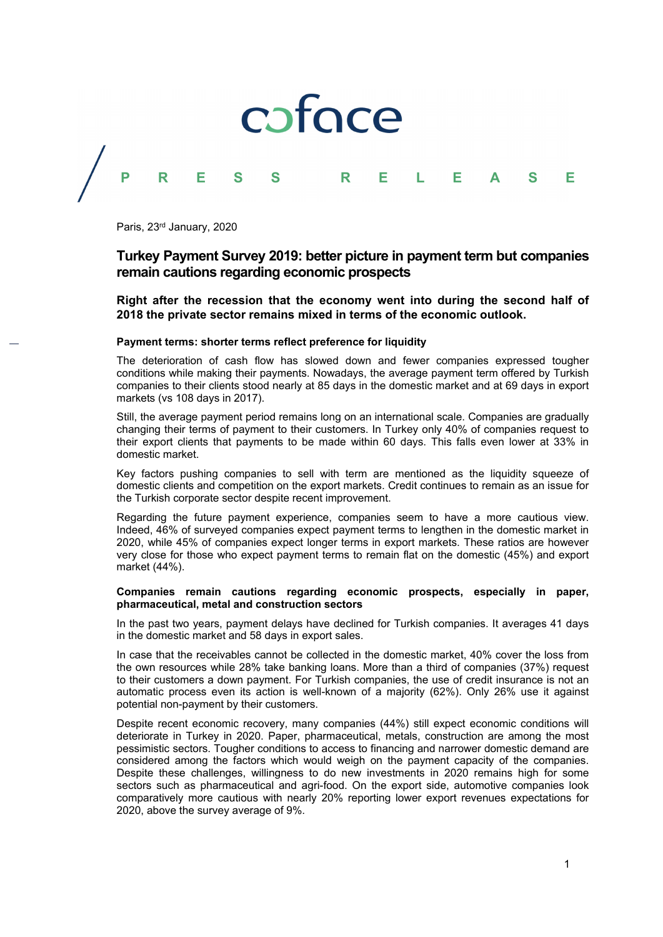

Paris, 23rd January, 2020

# **Turkey Payment Survey 2019: better picture in payment term but companies remain cautions regarding economic prospects**

**Right after the recession that the economy went into during the second half of 2018 the private sector remains mixed in terms of the economic outlook.** 

#### **Payment terms: shorter terms reflect preference for liquidity**

The deterioration of cash flow has slowed down and fewer companies expressed tougher conditions while making their payments. Nowadays, the average payment term offered by Turkish companies to their clients stood nearly at 85 days in the domestic market and at 69 days in export markets (vs 108 days in 2017).

Still, the average payment period remains long on an international scale. Companies are gradually changing their terms of payment to their customers. In Turkey only 40% of companies request to their export clients that payments to be made within 60 days. This falls even lower at 33% in domestic market.

Key factors pushing companies to sell with term are mentioned as the liquidity squeeze of domestic clients and competition on the export markets. Credit continues to remain as an issue for the Turkish corporate sector despite recent improvement.

Regarding the future payment experience, companies seem to have a more cautious view. Indeed, 46% of surveyed companies expect payment terms to lengthen in the domestic market in 2020, while 45% of companies expect longer terms in export markets. These ratios are however very close for those who expect payment terms to remain flat on the domestic (45%) and export market (44%).

# **Companies remain cautions regarding economic prospects, especially in paper, pharmaceutical, metal and construction sectors**

In the past two years, payment delays have declined for Turkish companies. It averages 41 days in the domestic market and 58 days in export sales.

In case that the receivables cannot be collected in the domestic market, 40% cover the loss from the own resources while 28% take banking loans. More than a third of companies (37%) request to their customers a down payment. For Turkish companies, the use of credit insurance is not an automatic process even its action is well-known of a majority (62%). Only 26% use it against potential non-payment by their customers.

Despite recent economic recovery, many companies (44%) still expect economic conditions will deteriorate in Turkey in 2020. Paper, pharmaceutical, metals, construction are among the most pessimistic sectors. Tougher conditions to access to financing and narrower domestic demand are considered among the factors which would weigh on the payment capacity of the companies. Despite these challenges, willingness to do new investments in 2020 remains high for some sectors such as pharmaceutical and agri-food. On the export side, automotive companies look comparatively more cautious with nearly 20% reporting lower export revenues expectations for 2020, above the survey average of 9%.